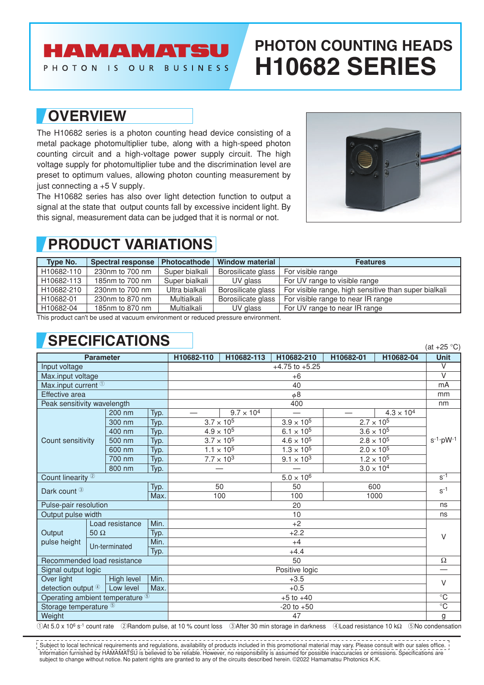### AMAMATSU

PHOTON IS OUR BUSINESS

# **PHOTON COUNTING HEADS H10682 SERIES**

#### **OVERVIEW**

The H10682 series is a photon counting head device consisting of a metal package photomultiplier tube, along with a high-speed photon counting circuit and a high-voltage power supply circuit. The high voltage supply for photomultiplier tube and the discrimination level are preset to optimum values, allowing photon counting measurement by just connecting a +5 V supply.

The H10682 series has also over light detection function to output a signal at the state that output counts fall by excessive incident light. By this signal, measurement data can be judged that it is normal or not.



## **PRODUCT VARIATIONS**

| <b>Type No.</b> | Spectral response | <b>Photocathode</b> | <b>Window material</b> | <b>Features</b>                                       |
|-----------------|-------------------|---------------------|------------------------|-------------------------------------------------------|
| H10682-110      | 230nm to 700 nm   | Super bialkali      | Borosilicate glass     | For visible range                                     |
| H10682-113      | 185nm to 700 nm   | Super bialkali      | UV glass               | For UV range to visible range                         |
| H10682-210      | 230nm to 700 nm   | Ultra bialkali      | Borosilicate glass     | For visible range, high sensitive than super bialkali |
| H10682-01       | 230nm to 870 nm   | Multialkali         | Borosilicate glass     | For visible range to near IR range                    |
| H10682-04       | 185nm to 870 nm   | Multialkali         | UV glass               | For UV range to near IR range                         |

This product can't be used at vacuum environment or reduced pressure environment.

### **SPECIFICATIONS**

| <b>Parameter</b>                |                               |      | H10682-110          | H10682-113          | H10682-210          | H10682-01 | H10682-04           | $(u_1 + 2v_2)$<br><b>Unit</b> |  |
|---------------------------------|-------------------------------|------|---------------------|---------------------|---------------------|-----------|---------------------|-------------------------------|--|
| Input voltage                   |                               |      | $+4.75$ to $+5.25$  |                     |                     |           |                     | $\overline{\vee}$             |  |
| Max.input voltage               |                               |      | $+6$                |                     |                     |           |                     |                               |  |
| Max.input current <sup>10</sup> |                               |      | 40                  |                     |                     |           |                     |                               |  |
| Effective area                  |                               |      | $\phi$ 8            |                     |                     |           |                     |                               |  |
| Peak sensitivity wavelength     |                               |      | 400                 |                     |                     |           |                     |                               |  |
|                                 | 200 nm                        | Typ. |                     | $9.7 \times 10^{4}$ |                     |           | $4.3 \times 10^{4}$ |                               |  |
|                                 | 300 nm                        | Typ. | $3.7 \times 10^{5}$ |                     | $3.9 \times 10^{5}$ |           | $2.7 \times 10^{5}$ | $s^{-1}$ ·pW-1                |  |
|                                 | 400 nm                        | Typ. | $4.9 \times 10^{5}$ |                     | $6.1 \times 10^{5}$ |           | $3.6 \times 10^{5}$ |                               |  |
| Count sensitivity               | 500 nm                        | Typ. | $3.7 \times 10^{5}$ |                     | $4.6 \times 10^{5}$ |           | $2.8 \times 10^{5}$ |                               |  |
|                                 | 600 nm                        | Typ. | $1.1 \times 10^{5}$ |                     | $1.3 \times 10^{5}$ |           | $2.0 \times 10^{5}$ |                               |  |
|                                 | 700 nm                        | Typ. | $7.7 \times 10^{3}$ |                     | $9.1 \times 10^{3}$ |           | $1.2 \times 10^{5}$ |                               |  |
|                                 | 800 nm                        | Typ. |                     |                     |                     |           | $3.0 \times 10^{4}$ |                               |  |
| Count linearity <sup>2</sup>    |                               |      | $5.0\times10^6$     |                     |                     |           |                     | $S-1$                         |  |
| Typ.<br>Dark count 3            |                               |      | 50                  |                     | 50                  | 600       |                     | $S-1$                         |  |
|                                 |                               | Max. | 100                 |                     | 100                 | 1000      |                     |                               |  |
| Pulse-pair resolution           |                               |      | 20                  |                     |                     |           |                     |                               |  |
| Output pulse width              |                               |      | 10                  |                     |                     |           |                     |                               |  |
|                                 | Load resistance               | Min. |                     |                     | $+2$                |           |                     |                               |  |
| Output<br>$50 \Omega$           | Typ.                          |      | $+2.2$              |                     |                     |           |                     | $\vee$                        |  |
| pulse height                    | Min.<br>Un-terminated<br>Typ. |      | $+4$                |                     |                     |           |                     |                               |  |
|                                 |                               |      | $+4.4$              |                     |                     |           |                     |                               |  |
| Recommended load resistance     |                               |      | 50                  |                     |                     |           |                     |                               |  |
| Signal output logic             |                               |      | Positive logic      |                     |                     |           |                     |                               |  |
| Over light                      | High level                    | Min. | $+3.5$              |                     |                     |           |                     | $\vee$<br>$\overline{C}$      |  |
| detection output 4              | Low level                     | Max. | $+0.5$              |                     |                     |           |                     |                               |  |
| Operating ambient temperature 5 |                               |      | $+5$ to $+40$       |                     |                     |           |                     |                               |  |
| Storage temperature 5           |                               |      | $-20$ to $+50$      |                     |                     |           |                     |                               |  |
| Weight                          |                               |      | 47                  |                     |                     |           |                     | g                             |  |

1At 5.0 x 106 s-1 count rate 2Random pulse, at 10 % count loss 3After 30 min storage in darkness 4Load resistance 10 kΩ 5No condensation

Information furnished by HAMAMATSU is believed to be reliable. However, no responsibility is assumed for possible inaccuracies or omissions. Specifications are subject to change without notice. No patent rights are granted to any of the circuits described herein. ©2022 Hamamatsu Photonics K.K.  $\frac{1}{2}$  Subject to local technical requirements and regulations, availability of products included in this promotional material may vary. Please consult with our sales office.